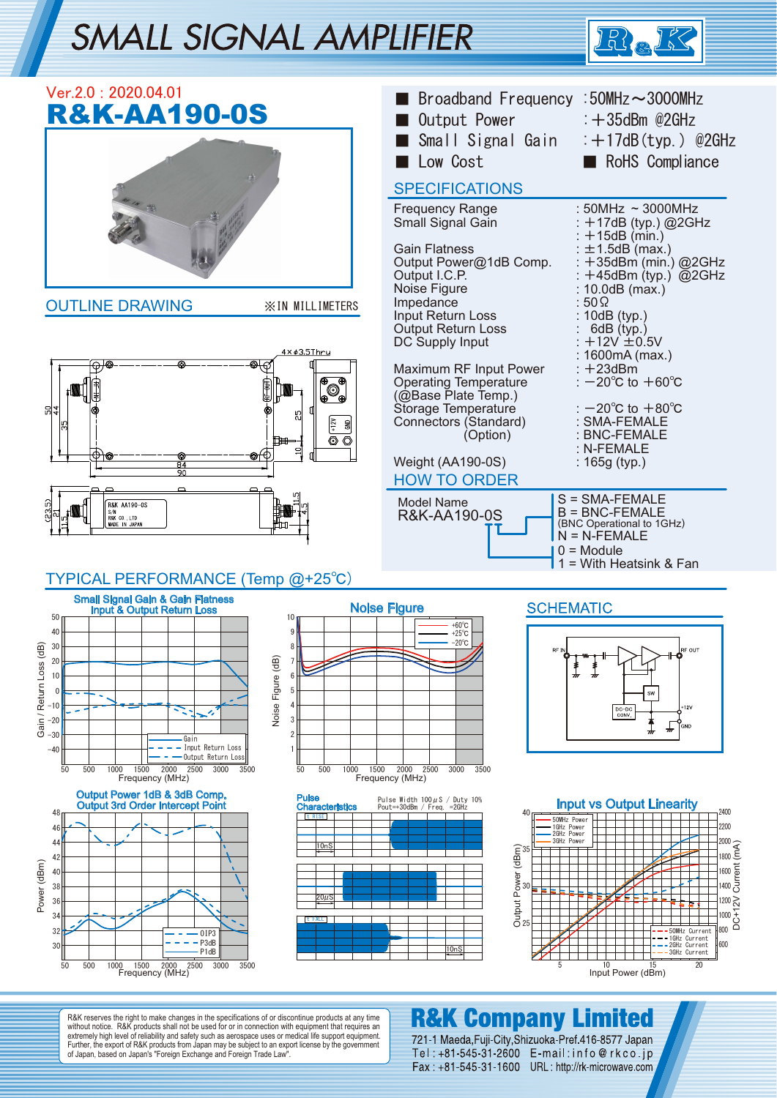# **SMALL SIGNAL AMPLIFIER**





R&K reserves the right to make changes in the specifications of or discontinue products at any time without notice. R&K products shall not be used for or in connection with equipment that requires an extremely high level of reliability and safety such as aerospace uses or medical life support equipment. Further, the export of R&K products from Japan may be subject to an export license by the government of Japan, based on Japan's "Foreign Exchange and Foreign Trade Law".

## **R&K Company Limited**

Input Power (dBm)

721-1 Maeda, Fuji-City, Shizuoka-Pref. 416-8577 Japan Tel: +81-545-31-2600 E-mail: info@rkco.jp Fax: +81-545-31-1600 URL: http://rk-microwave.com